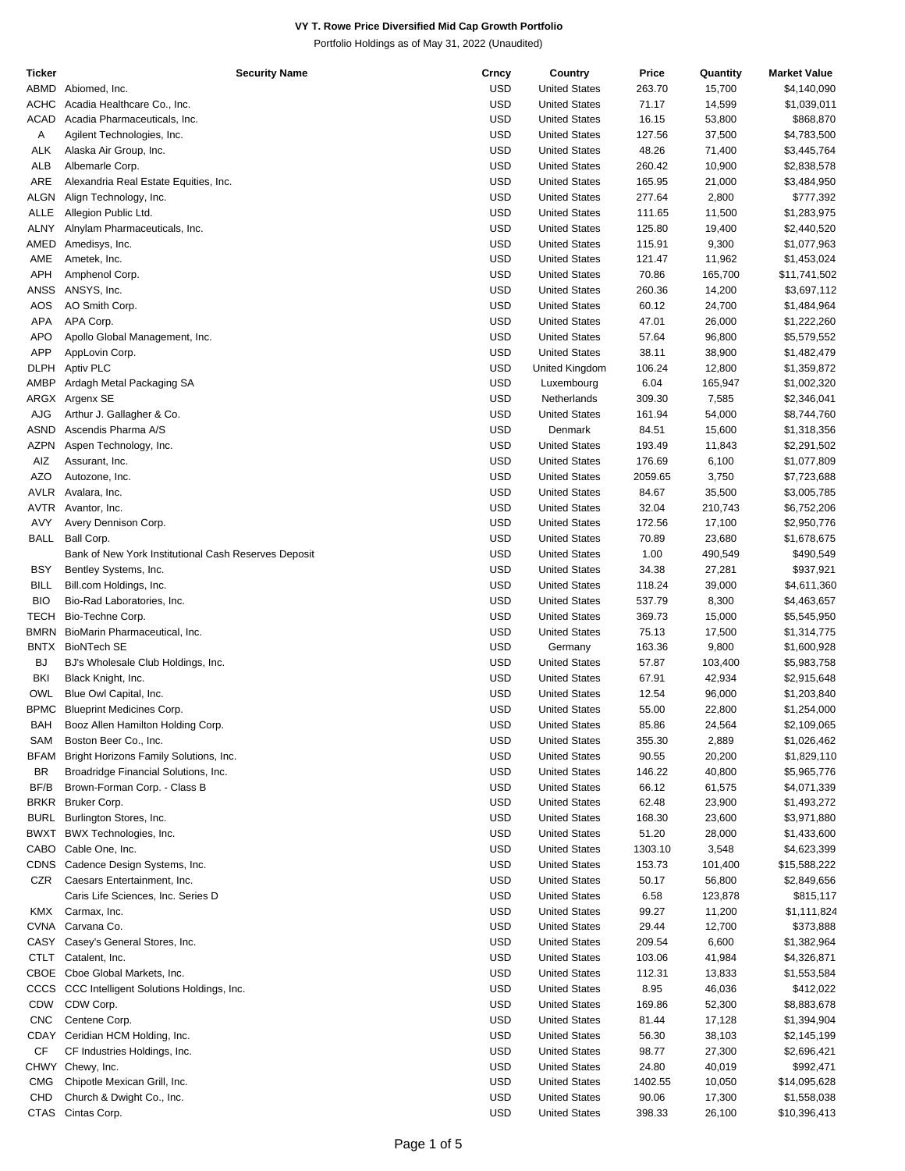| Ticker      | Security Name                                        | Crncy      | Country              | Price   | Quantity | <b>Market Value</b> |
|-------------|------------------------------------------------------|------------|----------------------|---------|----------|---------------------|
| ABMD        | Abiomed, Inc.                                        | <b>USD</b> | <b>United States</b> | 263.70  | 15,700   | \$4,140,090         |
| <b>ACHC</b> | Acadia Healthcare Co., Inc.                          | <b>USD</b> | <b>United States</b> | 71.17   | 14,599   | \$1,039,011         |
|             |                                                      |            |                      |         |          |                     |
| <b>ACAD</b> | Acadia Pharmaceuticals, Inc.                         | <b>USD</b> | <b>United States</b> | 16.15   | 53,800   | \$868,870           |
| Α           | Agilent Technologies, Inc.                           | <b>USD</b> | <b>United States</b> | 127.56  | 37,500   | \$4,783,500         |
| ALK         | Alaska Air Group, Inc.                               | <b>USD</b> | <b>United States</b> | 48.26   | 71,400   | \$3,445,764         |
| ALB         | Albemarle Corp.                                      | <b>USD</b> | <b>United States</b> | 260.42  | 10,900   | \$2,838,578         |
|             |                                                      |            |                      |         |          |                     |
| ARE         | Alexandria Real Estate Equities, Inc.                | <b>USD</b> | <b>United States</b> | 165.95  | 21,000   | \$3,484,950         |
| ALGN        | Align Technology, Inc.                               | <b>USD</b> | <b>United States</b> | 277.64  | 2,800    | \$777,392           |
| ALLE        | Allegion Public Ltd.                                 | <b>USD</b> | <b>United States</b> | 111.65  | 11,500   | \$1,283,975         |
| ALNY        | Alnylam Pharmaceuticals, Inc.                        | <b>USD</b> | <b>United States</b> | 125.80  | 19,400   | \$2,440,520         |
| AMED        |                                                      | <b>USD</b> | <b>United States</b> | 115.91  | 9,300    |                     |
|             | Amedisys, Inc.                                       |            |                      |         |          | \$1,077,963         |
| AME         | Ametek, Inc.                                         | <b>USD</b> | <b>United States</b> | 121.47  | 11,962   | \$1,453,024         |
| <b>APH</b>  | Amphenol Corp.                                       | <b>USD</b> | <b>United States</b> | 70.86   | 165,700  | \$11,741,502        |
| <b>ANSS</b> | ANSYS, Inc.                                          | <b>USD</b> | <b>United States</b> | 260.36  | 14,200   | \$3,697,112         |
| AOS         | AO Smith Corp.                                       | <b>USD</b> | <b>United States</b> | 60.12   | 24,700   | \$1,484,964         |
|             |                                                      |            |                      |         |          |                     |
| APA         | APA Corp.                                            | <b>USD</b> | <b>United States</b> | 47.01   | 26,000   | \$1,222,260         |
| <b>APO</b>  | Apollo Global Management, Inc.                       | <b>USD</b> | <b>United States</b> | 57.64   | 96,800   | \$5,579,552         |
| <b>APP</b>  | AppLovin Corp.                                       | <b>USD</b> | <b>United States</b> | 38.11   | 38,900   | \$1,482,479         |
| <b>DLPH</b> | Aptiv PLC                                            | <b>USD</b> | United Kingdom       | 106.24  | 12,800   | \$1,359,872         |
| AMBP        |                                                      | <b>USD</b> |                      | 6.04    |          |                     |
|             | Ardagh Metal Packaging SA                            |            | Luxembourg           |         | 165,947  | \$1,002,320         |
|             | ARGX Argenx SE                                       | <b>USD</b> | Netherlands          | 309.30  | 7,585    | \$2,346,041         |
| AJG         | Arthur J. Gallagher & Co.                            | <b>USD</b> | <b>United States</b> | 161.94  | 54,000   | \$8,744,760         |
| ASND        | Ascendis Pharma A/S                                  | <b>USD</b> | Denmark              | 84.51   | 15,600   | \$1,318,356         |
| <b>AZPN</b> |                                                      | <b>USD</b> | <b>United States</b> | 193.49  |          |                     |
|             | Aspen Technology, Inc.                               |            |                      |         | 11,843   | \$2,291,502         |
| AIZ         | Assurant, Inc.                                       | <b>USD</b> | <b>United States</b> | 176.69  | 6,100    | \$1,077,809         |
| <b>AZO</b>  | Autozone, Inc.                                       | <b>USD</b> | <b>United States</b> | 2059.65 | 3,750    | \$7,723,688         |
| <b>AVLR</b> | Avalara, Inc.                                        | <b>USD</b> | <b>United States</b> | 84.67   | 35,500   | \$3,005,785         |
| AVTR        | Avantor, Inc.                                        | <b>USD</b> | <b>United States</b> | 32.04   | 210,743  | \$6,752,206         |
|             |                                                      |            |                      |         |          |                     |
| AVY         | Avery Dennison Corp.                                 | <b>USD</b> | <b>United States</b> | 172.56  | 17,100   | \$2,950,776         |
| <b>BALL</b> | Ball Corp.                                           | <b>USD</b> | <b>United States</b> | 70.89   | 23,680   | \$1,678,675         |
|             | Bank of New York Institutional Cash Reserves Deposit | <b>USD</b> | <b>United States</b> | 1.00    | 490,549  | \$490,549           |
| <b>BSY</b>  | Bentley Systems, Inc.                                | <b>USD</b> | <b>United States</b> | 34.38   | 27,281   | \$937,921           |
|             |                                                      |            |                      |         |          |                     |
| <b>BILL</b> | Bill.com Holdings, Inc.                              | <b>USD</b> | <b>United States</b> | 118.24  | 39,000   | \$4,611,360         |
| <b>BIO</b>  | Bio-Rad Laboratories, Inc.                           | <b>USD</b> | <b>United States</b> | 537.79  | 8,300    | \$4,463,657         |
| <b>TECH</b> | Bio-Techne Corp.                                     | <b>USD</b> | <b>United States</b> | 369.73  | 15,000   | \$5,545,950         |
| <b>BMRN</b> | BioMarin Pharmaceutical, Inc.                        | <b>USD</b> | <b>United States</b> | 75.13   | 17,500   | \$1,314,775         |
|             |                                                      |            |                      |         |          |                     |
| <b>BNTX</b> | <b>BioNTech SE</b>                                   | <b>USD</b> | Germany              | 163.36  | 9,800    | \$1,600,928         |
| <b>BJ</b>   | BJ's Wholesale Club Holdings, Inc.                   | <b>USD</b> | <b>United States</b> | 57.87   | 103,400  | \$5,983,758         |
| <b>BKI</b>  | Black Knight, Inc.                                   | <b>USD</b> | <b>United States</b> | 67.91   | 42,934   | \$2,915,648         |
| <b>OWL</b>  | Blue Owl Capital, Inc.                               | <b>USD</b> | <b>United States</b> | 12.54   | 96,000   | \$1,203,840         |
| <b>BPMC</b> | <b>Blueprint Medicines Corp.</b>                     | <b>USD</b> | <b>United States</b> | 55.00   | 22,800   | \$1,254,000         |
|             |                                                      |            |                      |         |          |                     |
| <b>BAH</b>  | Booz Allen Hamilton Holding Corp.                    | <b>USD</b> | <b>United States</b> | 85.86   | 24,564   | \$2,109,065         |
| SAM         | Boston Beer Co., Inc.                                | <b>USD</b> | <b>United States</b> | 355.30  | 2,889    | \$1,026,462         |
| <b>BFAM</b> | Bright Horizons Family Solutions, Inc.               | <b>USD</b> | <b>United States</b> | 90.55   | 20,200   | \$1,829,110         |
| <b>BR</b>   | Broadridge Financial Solutions, Inc.                 | <b>USD</b> | <b>United States</b> | 146.22  | 40,800   | \$5,965,776         |
|             |                                                      |            |                      |         |          |                     |
| BF/B        | Brown-Forman Corp. - Class B                         | <b>USD</b> | <b>United States</b> | 66.12   | 61,575   | \$4,071,339         |
| <b>BRKR</b> | Bruker Corp.                                         | <b>USD</b> | <b>United States</b> | 62.48   | 23,900   | \$1,493,272         |
| <b>BURL</b> | Burlington Stores, Inc.                              | <b>USD</b> | <b>United States</b> | 168.30  | 23,600   | \$3,971,880         |
| <b>BWXT</b> | BWX Technologies, Inc.                               | <b>USD</b> | <b>United States</b> | 51.20   | 28,000   | \$1,433,600         |
|             | Cable One, Inc.                                      |            |                      |         |          |                     |
| CABO        |                                                      | <b>USD</b> | <b>United States</b> | 1303.10 | 3,548    | \$4,623,399         |
| <b>CDNS</b> | Cadence Design Systems, Inc.                         | <b>USD</b> | <b>United States</b> | 153.73  | 101,400  | \$15,588,222        |
| CZR         | Caesars Entertainment, Inc.                          | <b>USD</b> | <b>United States</b> | 50.17   | 56,800   | \$2,849,656         |
|             | Caris Life Sciences, Inc. Series D                   | USD        | <b>United States</b> | 6.58    | 123,878  | \$815,117           |
|             |                                                      | <b>USD</b> |                      |         |          |                     |
| KMX         | Carmax, Inc.                                         |            | <b>United States</b> | 99.27   | 11,200   | \$1,111,824         |
|             | CVNA Carvana Co.                                     | <b>USD</b> | <b>United States</b> | 29.44   | 12,700   | \$373,888           |
|             | CASY Casey's General Stores, Inc.                    | <b>USD</b> | <b>United States</b> | 209.54  | 6,600    | \$1,382,964         |
| CTLT        | Catalent, Inc.                                       | <b>USD</b> | <b>United States</b> | 103.06  | 41,984   | \$4,326,871         |
|             | CBOE Cboe Global Markets, Inc.                       | <b>USD</b> |                      |         |          |                     |
|             |                                                      |            | <b>United States</b> | 112.31  | 13,833   | \$1,553,584         |
| CCCS        | CCC Intelligent Solutions Holdings, Inc.             | <b>USD</b> | <b>United States</b> | 8.95    | 46,036   | \$412,022           |
| <b>CDW</b>  | CDW Corp.                                            | <b>USD</b> | <b>United States</b> | 169.86  | 52,300   | \$8,883,678         |
| <b>CNC</b>  | Centene Corp.                                        | USD        | <b>United States</b> | 81.44   | 17,128   | \$1,394,904         |
| CDAY        | Ceridian HCM Holding, Inc.                           | <b>USD</b> | <b>United States</b> | 56.30   | 38,103   | \$2,145,199         |
|             |                                                      |            |                      |         |          |                     |
| CF          | CF Industries Holdings, Inc.                         | <b>USD</b> | <b>United States</b> | 98.77   | 27,300   | \$2,696,421         |
|             | CHWY Chewy, Inc.                                     | <b>USD</b> | <b>United States</b> | 24.80   | 40,019   | \$992,471           |
| <b>CMG</b>  | Chipotle Mexican Grill, Inc.                         | <b>USD</b> | <b>United States</b> | 1402.55 | 10,050   | \$14,095,628        |
| CHD         | Church & Dwight Co., Inc.                            | <b>USD</b> | <b>United States</b> | 90.06   | 17,300   | \$1,558,038         |
|             |                                                      |            |                      |         |          |                     |
| <b>CTAS</b> | Cintas Corp.                                         | <b>USD</b> | <b>United States</b> | 398.33  | 26,100   | \$10,396,413        |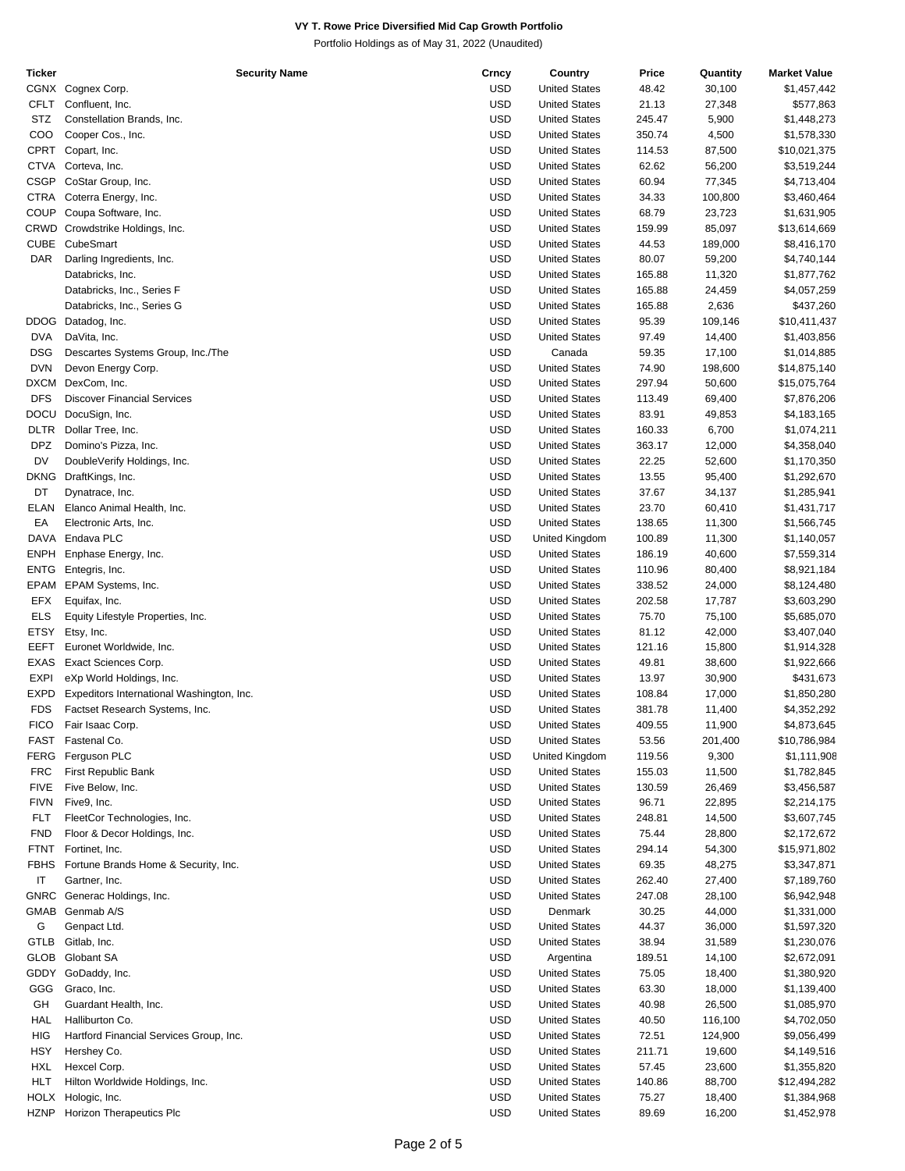| Ticker      | Security Name                             | Crncy      | Country              | Price  | Quantity | <b>Market Value</b> |
|-------------|-------------------------------------------|------------|----------------------|--------|----------|---------------------|
|             | CGNX Cognex Corp.                         | <b>USD</b> | <b>United States</b> | 48.42  | 30,100   | \$1,457,442         |
| CFLT        | Confluent, Inc.                           | <b>USD</b> | <b>United States</b> | 21.13  | 27,348   | \$577,863           |
|             |                                           |            |                      |        |          |                     |
| STZ         | Constellation Brands, Inc.                | <b>USD</b> | <b>United States</b> | 245.47 | 5,900    | \$1,448,273         |
| COO         | Cooper Cos., Inc.                         | <b>USD</b> | <b>United States</b> | 350.74 | 4,500    | \$1,578,330         |
|             | CPRT Copart, Inc.                         | <b>USD</b> | <b>United States</b> | 114.53 | 87,500   | \$10,021,375        |
| <b>CTVA</b> | Corteva, Inc.                             | <b>USD</b> | <b>United States</b> | 62.62  | 56,200   | \$3,519,244         |
|             |                                           |            |                      |        |          |                     |
| <b>CSGP</b> | CoStar Group, Inc.                        | <b>USD</b> | <b>United States</b> | 60.94  | 77,345   | \$4,713,404         |
| <b>CTRA</b> | Coterra Energy, Inc.                      | <b>USD</b> | <b>United States</b> | 34.33  | 100,800  | \$3,460,464         |
| COUP        | Coupa Software, Inc.                      | <b>USD</b> | <b>United States</b> | 68.79  | 23,723   | \$1,631,905         |
| CRWD        | Crowdstrike Holdings, Inc.                | <b>USD</b> | <b>United States</b> | 159.99 | 85,097   | \$13,614,669        |
|             |                                           |            |                      |        |          |                     |
| <b>CUBE</b> | CubeSmart                                 | <b>USD</b> | <b>United States</b> | 44.53  | 189,000  | \$8,416,170         |
| DAR         | Darling Ingredients, Inc.                 | <b>USD</b> | <b>United States</b> | 80.07  | 59,200   | \$4,740,144         |
|             | Databricks, Inc.                          | <b>USD</b> | <b>United States</b> | 165.88 | 11,320   | \$1,877,762         |
|             | Databricks, Inc., Series F                | <b>USD</b> | <b>United States</b> | 165.88 | 24,459   | \$4,057,259         |
|             |                                           |            |                      |        |          |                     |
|             | Databricks, Inc., Series G                | <b>USD</b> | <b>United States</b> | 165.88 | 2,636    | \$437,260           |
| <b>DDOG</b> | Datadog, Inc.                             | <b>USD</b> | <b>United States</b> | 95.39  | 109,146  | \$10,411,437        |
| <b>DVA</b>  | DaVita, Inc.                              | <b>USD</b> | <b>United States</b> | 97.49  | 14,400   | \$1,403,856         |
| <b>DSG</b>  | Descartes Systems Group, Inc./The         | <b>USD</b> | Canada               | 59.35  | 17,100   | \$1,014,885         |
|             |                                           |            |                      |        |          |                     |
| <b>DVN</b>  | Devon Energy Corp.                        | <b>USD</b> | <b>United States</b> | 74.90  | 198,600  | \$14,875,140        |
| <b>DXCM</b> | DexCom, Inc.                              | <b>USD</b> | <b>United States</b> | 297.94 | 50,600   | \$15,075,764        |
| <b>DFS</b>  | <b>Discover Financial Services</b>        | <b>USD</b> | <b>United States</b> | 113.49 | 69,400   | \$7,876,206         |
| <b>DOCU</b> | DocuSign, Inc.                            | <b>USD</b> | <b>United States</b> |        |          |                     |
|             |                                           |            |                      | 83.91  | 49,853   | \$4,183,165         |
| <b>DLTR</b> | Dollar Tree, Inc.                         | <b>USD</b> | <b>United States</b> | 160.33 | 6,700    | \$1,074,211         |
| <b>DPZ</b>  | Domino's Pizza, Inc.                      | <b>USD</b> | <b>United States</b> | 363.17 | 12,000   | \$4,358,040         |
| DV          | DoubleVerify Holdings, Inc.               | <b>USD</b> | <b>United States</b> | 22.25  | 52,600   | \$1,170,350         |
|             |                                           |            |                      |        |          |                     |
| <b>DKNG</b> | DraftKings, Inc.                          | <b>USD</b> | <b>United States</b> | 13.55  | 95,400   | \$1,292,670         |
| DT          | Dynatrace, Inc.                           | <b>USD</b> | <b>United States</b> | 37.67  | 34,137   | \$1,285,941         |
| ELAN        | Elanco Animal Health, Inc.                | <b>USD</b> | <b>United States</b> | 23.70  | 60,410   | \$1,431,717         |
| EA          | Electronic Arts, Inc.                     | <b>USD</b> | <b>United States</b> | 138.65 | 11,300   | \$1,566,745         |
|             |                                           |            |                      |        |          |                     |
|             | DAVA Endava PLC                           | <b>USD</b> | United Kingdom       | 100.89 | 11,300   | \$1,140,057         |
| <b>ENPH</b> | Enphase Energy, Inc.                      | <b>USD</b> | <b>United States</b> | 186.19 | 40,600   | \$7,559,314         |
| <b>ENTG</b> | Entegris, Inc.                            | <b>USD</b> | <b>United States</b> | 110.96 | 80,400   | \$8,921,184         |
| <b>EPAM</b> | EPAM Systems, Inc.                        | <b>USD</b> | <b>United States</b> | 338.52 | 24,000   | \$8,124,480         |
|             |                                           |            |                      |        |          |                     |
| EFX         | Equifax, Inc.                             | <b>USD</b> | <b>United States</b> | 202.58 | 17,787   | \$3,603,290         |
| <b>ELS</b>  | Equity Lifestyle Properties, Inc.         | <b>USD</b> | <b>United States</b> | 75.70  | 75,100   | \$5,685,070         |
| <b>ETSY</b> | Etsy, Inc.                                | <b>USD</b> | <b>United States</b> | 81.12  | 42,000   | \$3,407,040         |
| <b>EEFT</b> | Euronet Worldwide, Inc.                   | <b>USD</b> | <b>United States</b> | 121.16 | 15,800   | \$1,914,328         |
|             |                                           |            |                      |        |          |                     |
| <b>EXAS</b> | Exact Sciences Corp.                      | <b>USD</b> | <b>United States</b> | 49.81  | 38,600   | \$1,922,666         |
| <b>EXPI</b> | eXp World Holdings, Inc.                  | <b>USD</b> | <b>United States</b> | 13.97  | 30,900   | \$431,673           |
| EXPD        | Expeditors International Washington, Inc. | <b>USD</b> | <b>United States</b> | 108.84 | 17,000   | \$1,850,280         |
| <b>FDS</b>  | Factset Research Systems, Inc.            | <b>USD</b> | <b>United States</b> | 381.78 | 11,400   | \$4,352,292         |
|             |                                           |            |                      |        |          |                     |
| <b>FICO</b> | Fair Isaac Corp.                          | <b>USD</b> | <b>United States</b> | 409.55 | 11,900   | \$4,873,645         |
| FAST        | Fastenal Co.                              | <b>USD</b> | <b>United States</b> | 53.56  | 201,400  | \$10,786,984        |
| FERG        | Ferguson PLC                              | <b>USD</b> | United Kingdom       | 119.56 | 9,300    | \$1,111,908         |
| <b>FRC</b>  | First Republic Bank                       | <b>USD</b> | <b>United States</b> | 155.03 | 11,500   | \$1,782,845         |
|             |                                           |            |                      |        |          |                     |
| <b>FIVE</b> | Five Below, Inc.                          | <b>USD</b> | <b>United States</b> | 130.59 | 26,469   | \$3,456,587         |
| <b>FIVN</b> | Five9, Inc.                               | <b>USD</b> | <b>United States</b> | 96.71  | 22,895   | \$2,214,175         |
| FLT         | FleetCor Technologies, Inc.               | <b>USD</b> | <b>United States</b> | 248.81 | 14,500   | \$3,607,745         |
| <b>FND</b>  | Floor & Decor Holdings, Inc.              | <b>USD</b> | <b>United States</b> | 75.44  | 28,800   | \$2,172,672         |
|             |                                           |            |                      |        |          |                     |
| <b>FTNT</b> | Fortinet, Inc.                            | <b>USD</b> | <b>United States</b> | 294.14 | 54,300   | \$15,971,802        |
| <b>FBHS</b> | Fortune Brands Home & Security, Inc.      | <b>USD</b> | <b>United States</b> | 69.35  | 48,275   | \$3,347,871         |
| IT          | Gartner, Inc.                             | <b>USD</b> | <b>United States</b> | 262.40 | 27,400   | \$7,189,760         |
| <b>GNRC</b> |                                           | <b>USD</b> | <b>United States</b> |        |          |                     |
|             | Generac Holdings, Inc.                    |            |                      | 247.08 | 28,100   | \$6,942,948         |
| <b>GMAB</b> | Genmab A/S                                | <b>USD</b> | Denmark              | 30.25  | 44,000   | \$1,331,000         |
| G           | Genpact Ltd.                              | <b>USD</b> | <b>United States</b> | 44.37  | 36,000   | \$1,597,320         |
| GTLB        | Gitlab, Inc.                              | <b>USD</b> | <b>United States</b> | 38.94  | 31,589   | \$1,230,076         |
|             |                                           |            |                      |        |          |                     |
| <b>GLOB</b> | Globant SA                                | <b>USD</b> | Argentina            | 189.51 | 14,100   | \$2,672,091         |
| GDDY        | GoDaddy, Inc.                             | <b>USD</b> | <b>United States</b> | 75.05  | 18,400   | \$1,380,920         |
| GGG         | Graco, Inc.                               | <b>USD</b> | <b>United States</b> | 63.30  | 18,000   | \$1,139,400         |
| GH          | Guardant Health, Inc.                     | <b>USD</b> | <b>United States</b> | 40.98  | 26,500   | \$1,085,970         |
|             |                                           |            |                      |        |          |                     |
| HAL         | Halliburton Co.                           | <b>USD</b> | <b>United States</b> | 40.50  | 116,100  | \$4,702,050         |
| HIG         | Hartford Financial Services Group, Inc.   | <b>USD</b> | <b>United States</b> | 72.51  | 124,900  | \$9,056,499         |
| HSY         | Hershey Co.                               | <b>USD</b> | <b>United States</b> | 211.71 | 19,600   | \$4,149,516         |
| <b>HXL</b>  | Hexcel Corp.                              | <b>USD</b> | <b>United States</b> | 57.45  | 23,600   | \$1,355,820         |
|             |                                           |            |                      |        |          |                     |
| <b>HLT</b>  | Hilton Worldwide Holdings, Inc.           | <b>USD</b> | <b>United States</b> | 140.86 | 88,700   | \$12,494,282        |
| <b>HOLX</b> | Hologic, Inc.                             | <b>USD</b> | <b>United States</b> | 75.27  | 18,400   | \$1,384,968         |
| <b>HZNP</b> | Horizon Therapeutics Plc                  | <b>USD</b> | <b>United States</b> | 89.69  | 16,200   | \$1,452,978         |
|             |                                           |            |                      |        |          |                     |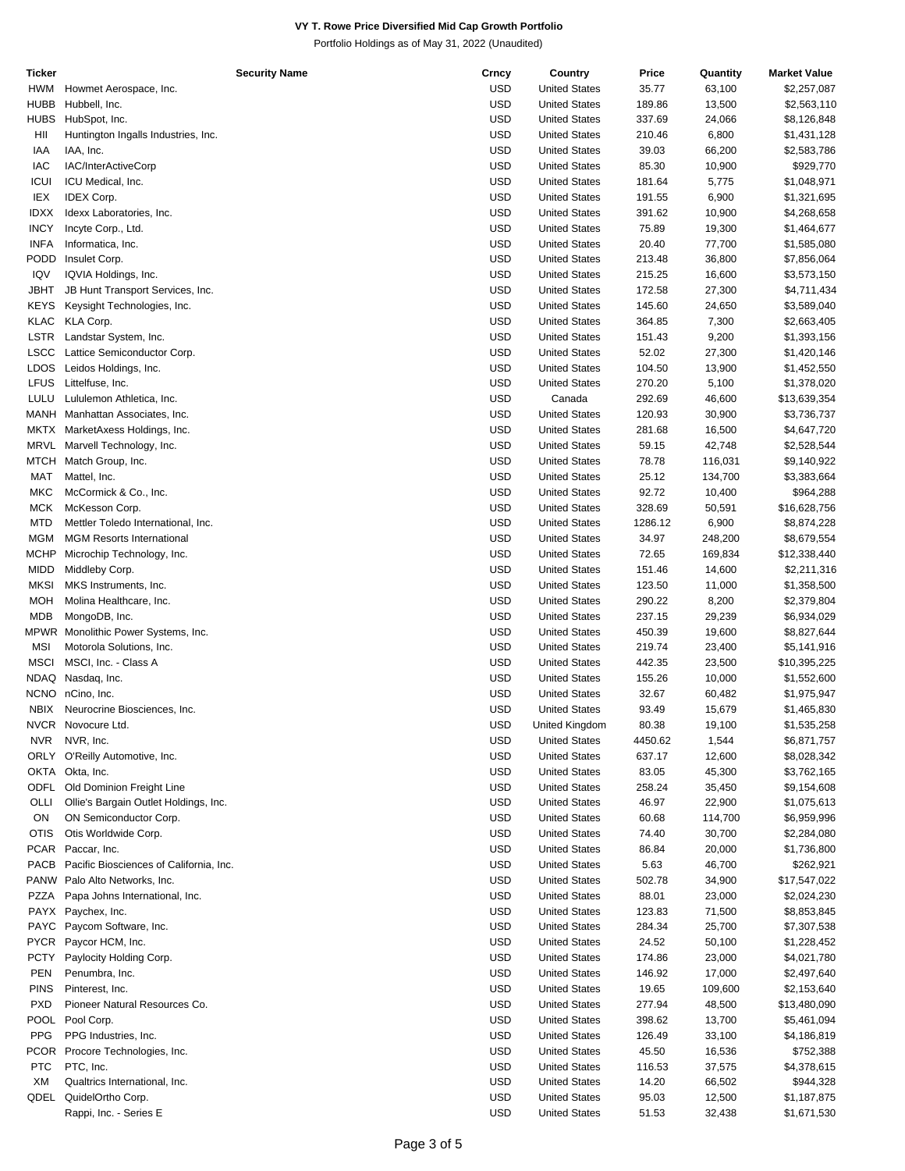| Ticker      | <b>Security Name</b>                    | Crncy      | Country              | Price   | Quantity | <b>Market Value</b> |
|-------------|-----------------------------------------|------------|----------------------|---------|----------|---------------------|
| <b>HWM</b>  | Howmet Aerospace, Inc.                  | <b>USD</b> | <b>United States</b> | 35.77   | 63,100   | \$2,257,087         |
| <b>HUBB</b> | Hubbell, Inc.                           | <b>USD</b> | <b>United States</b> | 189.86  | 13,500   | \$2,563,110         |
|             |                                         |            |                      |         |          |                     |
| <b>HUBS</b> | HubSpot, Inc.                           | <b>USD</b> | <b>United States</b> | 337.69  | 24,066   | \$8,126,848         |
| HII         | Huntington Ingalls Industries, Inc.     | <b>USD</b> | <b>United States</b> | 210.46  | 6,800    | \$1,431,128         |
| IAA         | IAA, Inc.                               | <b>USD</b> | <b>United States</b> | 39.03   | 66,200   | \$2,583,786         |
| IAC         | IAC/InterActiveCorp                     | <b>USD</b> | <b>United States</b> | 85.30   | 10,900   | \$929,770           |
| <b>ICUI</b> | ICU Medical, Inc.                       | <b>USD</b> | <b>United States</b> | 181.64  | 5,775    | \$1,048,971         |
|             |                                         |            |                      |         |          |                     |
| IEX         | <b>IDEX Corp.</b>                       | <b>USD</b> | <b>United States</b> | 191.55  | 6,900    | \$1,321,695         |
| <b>IDXX</b> | Idexx Laboratories, Inc.                | <b>USD</b> | <b>United States</b> | 391.62  | 10,900   | \$4,268,658         |
| <b>INCY</b> | Incyte Corp., Ltd.                      | <b>USD</b> | <b>United States</b> | 75.89   | 19,300   | \$1,464,677         |
| <b>INFA</b> | Informatica, Inc.                       | <b>USD</b> | <b>United States</b> | 20.40   | 77,700   | \$1,585,080         |
|             |                                         |            |                      |         |          |                     |
| PODD        | Insulet Corp.                           | <b>USD</b> | <b>United States</b> | 213.48  | 36,800   | \$7,856,064         |
| IQV         | IQVIA Holdings, Inc.                    | <b>USD</b> | <b>United States</b> | 215.25  | 16,600   | \$3,573,150         |
| <b>JBHT</b> | JB Hunt Transport Services, Inc.        | <b>USD</b> | <b>United States</b> | 172.58  | 27,300   | \$4,711,434         |
| <b>KEYS</b> | Keysight Technologies, Inc.             | <b>USD</b> | <b>United States</b> | 145.60  | 24,650   | \$3,589,040         |
|             |                                         |            |                      |         |          |                     |
| <b>KLAC</b> | KLA Corp.                               | <b>USD</b> | <b>United States</b> | 364.85  | 7,300    | \$2,663,405         |
| <b>LSTR</b> | Landstar System, Inc.                   | <b>USD</b> | <b>United States</b> | 151.43  | 9,200    | \$1,393,156         |
| <b>LSCC</b> | Lattice Semiconductor Corp.             | <b>USD</b> | <b>United States</b> | 52.02   | 27,300   | \$1,420,146         |
| <b>LDOS</b> | Leidos Holdings, Inc.                   | <b>USD</b> | <b>United States</b> | 104.50  | 13,900   | \$1,452,550         |
|             |                                         |            |                      |         |          |                     |
| <b>LFUS</b> | Littelfuse, Inc.                        | <b>USD</b> | <b>United States</b> | 270.20  | 5,100    | \$1,378,020         |
| LULU        | Lululemon Athletica, Inc.               | <b>USD</b> | Canada               | 292.69  | 46,600   | \$13,639,354        |
| MANH        | Manhattan Associates, Inc.              | <b>USD</b> | <b>United States</b> | 120.93  | 30,900   | \$3,736,737         |
|             | MKTX MarketAxess Holdings, Inc.         | <b>USD</b> | <b>United States</b> | 281.68  | 16,500   | \$4,647,720         |
|             |                                         |            |                      |         |          |                     |
| <b>MRVL</b> | Marvell Technology, Inc.                | <b>USD</b> | <b>United States</b> | 59.15   | 42,748   | \$2,528,544         |
| MTCH        | Match Group, Inc.                       | <b>USD</b> | <b>United States</b> | 78.78   | 116,031  | \$9,140,922         |
| <b>MAT</b>  | Mattel, Inc.                            | <b>USD</b> | <b>United States</b> | 25.12   | 134,700  | \$3,383,664         |
| <b>MKC</b>  | McCormick & Co., Inc.                   | <b>USD</b> | <b>United States</b> | 92.72   | 10,400   | \$964,288           |
|             |                                         |            |                      |         |          |                     |
| <b>MCK</b>  | McKesson Corp.                          | <b>USD</b> | <b>United States</b> | 328.69  | 50,591   | \$16,628,756        |
| <b>MTD</b>  | Mettler Toledo International, Inc.      | <b>USD</b> | <b>United States</b> | 1286.12 | 6,900    | \$8,874,228         |
| <b>MGM</b>  | <b>MGM Resorts International</b>        | <b>USD</b> | <b>United States</b> | 34.97   | 248,200  | \$8,679,554         |
| <b>MCHP</b> | Microchip Technology, Inc.              | <b>USD</b> | <b>United States</b> | 72.65   | 169,834  | \$12,338,440        |
|             |                                         |            |                      |         |          |                     |
| <b>MIDD</b> | Middleby Corp.                          | <b>USD</b> | <b>United States</b> | 151.46  | 14,600   | \$2,211,316         |
| <b>MKSI</b> | MKS Instruments, Inc.                   | <b>USD</b> | <b>United States</b> | 123.50  | 11,000   | \$1,358,500         |
| MOH         | Molina Healthcare, Inc.                 | <b>USD</b> | <b>United States</b> | 290.22  | 8,200    | \$2,379,804         |
| MDB         | MongoDB, Inc.                           | <b>USD</b> | <b>United States</b> | 237.15  | 29,239   | \$6,934,029         |
| MPWR        | Monolithic Power Systems, Inc.          | <b>USD</b> | <b>United States</b> | 450.39  | 19,600   | \$8,827,644         |
|             |                                         |            |                      |         |          |                     |
| MSI         | Motorola Solutions, Inc.                | <b>USD</b> | <b>United States</b> | 219.74  | 23,400   | \$5,141,916         |
| <b>MSCI</b> | MSCI, Inc. - Class A                    | <b>USD</b> | <b>United States</b> | 442.35  | 23,500   | \$10,395,225        |
| <b>NDAQ</b> | Nasdaq, Inc.                            | <b>USD</b> | <b>United States</b> | 155.26  | 10,000   | \$1,552,600         |
|             | NCNO nCino, Inc.                        | <b>USD</b> | <b>United States</b> | 32.67   | 60,482   | \$1,975,947         |
|             |                                         |            |                      |         |          |                     |
| <b>NBIX</b> | Neurocrine Biosciences, Inc.            | <b>USD</b> | <b>United States</b> | 93.49   | 15,679   | \$1,465,830         |
|             | NVCR Novocure Ltd.                      | <b>USD</b> | United Kingdom       | 80.38   | 19,100   | \$1,535,258         |
| <b>NVR</b>  | NVR, Inc.                               | <b>USD</b> | <b>United States</b> | 4450.62 | 1,544    | \$6,871,757         |
|             | ORLY O'Reilly Automotive, Inc.          | <b>USD</b> | <b>United States</b> | 637.17  | 12,600   | \$8,028,342         |
|             |                                         |            |                      |         |          |                     |
|             | OKTA Okta, Inc.                         | <b>USD</b> | <b>United States</b> | 83.05   | 45,300   | \$3,762,165         |
| <b>ODFL</b> | Old Dominion Freight Line               | <b>USD</b> | <b>United States</b> | 258.24  | 35,450   | \$9,154,608         |
| OLLI        | Ollie's Bargain Outlet Holdings, Inc.   | <b>USD</b> | <b>United States</b> | 46.97   | 22,900   | \$1,075,613         |
| ON          | ON Semiconductor Corp.                  | <b>USD</b> | <b>United States</b> | 60.68   | 114,700  | \$6,959,996         |
|             |                                         |            |                      |         |          |                     |
| <b>OTIS</b> | Otis Worldwide Corp.                    | <b>USD</b> | <b>United States</b> | 74.40   | 30,700   | \$2,284,080         |
| <b>PCAR</b> | Paccar, Inc.                            | <b>USD</b> | <b>United States</b> | 86.84   | 20,000   | \$1,736,800         |
| PACB        | Pacific Biosciences of California, Inc. | <b>USD</b> | <b>United States</b> | 5.63    | 46,700   | \$262,921           |
|             | PANW Palo Alto Networks, Inc.           | <b>USD</b> | <b>United States</b> | 502.78  | 34,900   | \$17,547,022        |
|             |                                         |            |                      |         |          |                     |
| PZZA        | Papa Johns International, Inc.          | <b>USD</b> | <b>United States</b> | 88.01   | 23,000   | \$2,024,230         |
|             | PAYX Paychex, Inc.                      | <b>USD</b> | <b>United States</b> | 123.83  | 71,500   | \$8,853,845         |
|             | PAYC Paycom Software, Inc.              | <b>USD</b> | <b>United States</b> | 284.34  | 25,700   | \$7,307,538         |
|             | PYCR Paycor HCM, Inc.                   | <b>USD</b> | <b>United States</b> | 24.52   |          |                     |
|             |                                         |            |                      |         | 50,100   | \$1,228,452         |
| <b>PCTY</b> | Paylocity Holding Corp.                 | <b>USD</b> | <b>United States</b> | 174.86  | 23,000   | \$4,021,780         |
| <b>PEN</b>  | Penumbra, Inc.                          | <b>USD</b> | <b>United States</b> | 146.92  | 17,000   | \$2,497,640         |
| <b>PINS</b> | Pinterest, Inc.                         | <b>USD</b> | <b>United States</b> | 19.65   | 109,600  | \$2,153,640         |
|             |                                         |            |                      |         |          |                     |
| <b>PXD</b>  | Pioneer Natural Resources Co.           | <b>USD</b> | <b>United States</b> | 277.94  | 48,500   | \$13,480,090        |
| POOL        | Pool Corp.                              | <b>USD</b> | <b>United States</b> | 398.62  | 13,700   | \$5,461,094         |
| <b>PPG</b>  | PPG Industries, Inc.                    | <b>USD</b> | <b>United States</b> | 126.49  | 33,100   | \$4,186,819         |
|             | PCOR Procore Technologies, Inc.         | <b>USD</b> | <b>United States</b> | 45.50   | 16,536   | \$752,388           |
| <b>PTC</b>  | PTC, Inc.                               | <b>USD</b> | <b>United States</b> | 116.53  |          |                     |
|             |                                         |            |                      |         | 37,575   | \$4,378,615         |
| XM          | Qualtrics International, Inc.           | <b>USD</b> | <b>United States</b> | 14.20   | 66,502   | \$944,328           |
|             |                                         |            |                      |         |          |                     |
| QDEL        | QuidelOrtho Corp.                       | <b>USD</b> | <b>United States</b> | 95.03   | 12,500   | \$1,187,875         |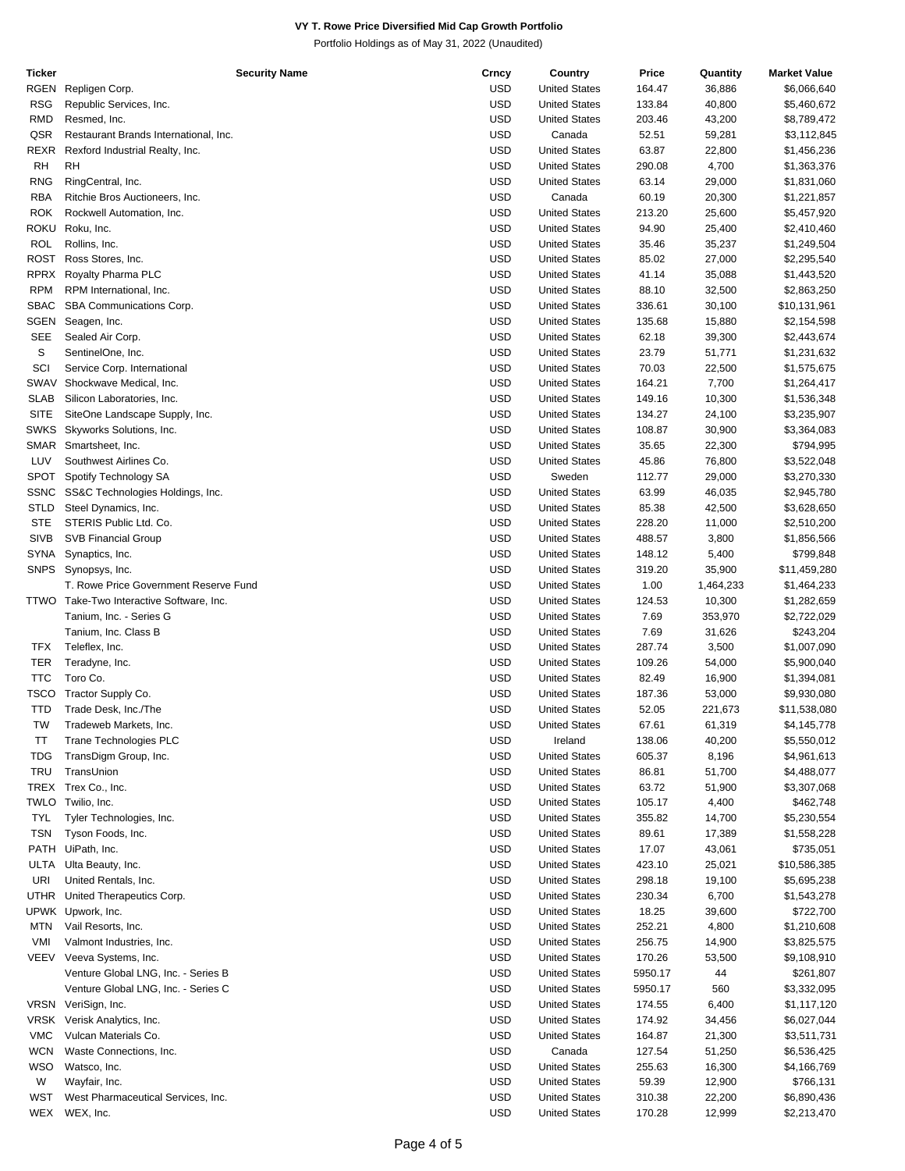| Ticker      | <b>Security Name</b>                     | Crncy      | Country              | Price   | Quantity  | <b>Market Value</b> |
|-------------|------------------------------------------|------------|----------------------|---------|-----------|---------------------|
| RGEN        | Repligen Corp.                           | <b>USD</b> | <b>United States</b> | 164.47  | 36,886    | \$6,066,640         |
| <b>RSG</b>  | Republic Services, Inc.                  | <b>USD</b> | <b>United States</b> | 133.84  | 40,800    | \$5,460,672         |
| <b>RMD</b>  | Resmed, Inc.                             | <b>USD</b> | <b>United States</b> | 203.46  | 43,200    | \$8,789,472         |
|             |                                          |            |                      |         |           |                     |
| QSR         | Restaurant Brands International, Inc.    | <b>USD</b> | Canada               | 52.51   | 59,281    | \$3,112,845         |
| <b>REXR</b> | Rexford Industrial Realty, Inc.          | <b>USD</b> | <b>United States</b> | 63.87   | 22,800    | \$1,456,236         |
| <b>RH</b>   | <b>RH</b>                                | <b>USD</b> | <b>United States</b> | 290.08  | 4,700     | \$1,363,376         |
| <b>RNG</b>  | RingCentral, Inc.                        | <b>USD</b> | <b>United States</b> | 63.14   | 29,000    | \$1,831,060         |
| <b>RBA</b>  | Ritchie Bros Auctioneers, Inc.           | <b>USD</b> | Canada               | 60.19   | 20,300    | \$1,221,857         |
| <b>ROK</b>  | Rockwell Automation, Inc.                | <b>USD</b> | <b>United States</b> | 213.20  | 25,600    | \$5,457,920         |
| <b>ROKU</b> | Roku, Inc.                               | <b>USD</b> | <b>United States</b> | 94.90   | 25,400    | \$2,410,460         |
|             |                                          |            |                      |         |           |                     |
| <b>ROL</b>  | Rollins, Inc.                            | <b>USD</b> | <b>United States</b> | 35.46   | 35,237    | \$1,249,504         |
| <b>ROST</b> | Ross Stores, Inc.                        | <b>USD</b> | <b>United States</b> | 85.02   | 27,000    | \$2,295,540         |
| <b>RPRX</b> | Royalty Pharma PLC                       | <b>USD</b> | <b>United States</b> | 41.14   | 35,088    | \$1,443,520         |
| <b>RPM</b>  | RPM International, Inc.                  | <b>USD</b> | <b>United States</b> | 88.10   | 32,500    | \$2,863,250         |
| <b>SBAC</b> | SBA Communications Corp.                 | <b>USD</b> | <b>United States</b> | 336.61  | 30,100    | \$10,131,961        |
| <b>SGEN</b> | Seagen, Inc.                             | <b>USD</b> | <b>United States</b> | 135.68  | 15,880    | \$2,154,598         |
|             |                                          |            |                      |         |           |                     |
| <b>SEE</b>  | Sealed Air Corp.                         | <b>USD</b> | <b>United States</b> | 62.18   | 39,300    | \$2,443,674         |
| S           | SentinelOne, Inc.                        | <b>USD</b> | <b>United States</b> | 23.79   | 51,771    | \$1,231,632         |
| SCI         | Service Corp. International              | <b>USD</b> | <b>United States</b> | 70.03   | 22,500    | \$1,575,675         |
| SWAV        | Shockwave Medical, Inc.                  | <b>USD</b> | <b>United States</b> | 164.21  | 7,700     | \$1,264,417         |
| <b>SLAB</b> | Silicon Laboratories, Inc.               | <b>USD</b> | <b>United States</b> | 149.16  | 10,300    | \$1,536,348         |
| <b>SITE</b> | SiteOne Landscape Supply, Inc.           | <b>USD</b> | <b>United States</b> | 134.27  | 24,100    | \$3,235,907         |
|             |                                          |            |                      |         |           |                     |
| <b>SWKS</b> | Skyworks Solutions, Inc.                 | <b>USD</b> | <b>United States</b> | 108.87  | 30,900    | \$3,364,083         |
| <b>SMAR</b> | Smartsheet, Inc.                         | <b>USD</b> | <b>United States</b> | 35.65   | 22,300    | \$794,995           |
| LUV         | Southwest Airlines Co.                   | <b>USD</b> | <b>United States</b> | 45.86   | 76,800    | \$3,522,048         |
| <b>SPOT</b> | Spotify Technology SA                    | <b>USD</b> | Sweden               | 112.77  | 29,000    | \$3,270,330         |
| <b>SSNC</b> | SS&C Technologies Holdings, Inc.         | <b>USD</b> | <b>United States</b> | 63.99   | 46,035    | \$2,945,780         |
| <b>STLD</b> | Steel Dynamics, Inc.                     | <b>USD</b> | <b>United States</b> | 85.38   | 42,500    | \$3,628,650         |
|             |                                          |            |                      |         |           |                     |
| <b>STE</b>  | STERIS Public Ltd. Co.                   | <b>USD</b> | <b>United States</b> | 228.20  | 11,000    | \$2,510,200         |
| <b>SIVB</b> | <b>SVB Financial Group</b>               | <b>USD</b> | <b>United States</b> | 488.57  | 3,800     | \$1,856,566         |
| <b>SYNA</b> | Synaptics, Inc.                          | <b>USD</b> | <b>United States</b> | 148.12  | 5,400     | \$799,848           |
| <b>SNPS</b> | Synopsys, Inc.                           | <b>USD</b> | <b>United States</b> | 319.20  | 35,900    | \$11,459,280        |
|             | T. Rowe Price Government Reserve Fund    | <b>USD</b> | <b>United States</b> | 1.00    | 1,464,233 | \$1,464,233         |
|             | TTWO Take-Two Interactive Software, Inc. | <b>USD</b> | <b>United States</b> | 124.53  | 10,300    | \$1,282,659         |
|             |                                          | <b>USD</b> |                      |         |           |                     |
|             | Tanium, Inc. - Series G                  |            | <b>United States</b> | 7.69    | 353,970   | \$2,722,029         |
|             | Tanium, Inc. Class B                     | <b>USD</b> | <b>United States</b> | 7.69    | 31,626    | \$243,204           |
| <b>TFX</b>  | Teleflex, Inc.                           | <b>USD</b> | <b>United States</b> | 287.74  | 3,500     | \$1,007,090         |
| TER         | Teradyne, Inc.                           | <b>USD</b> | <b>United States</b> | 109.26  | 54,000    | \$5,900,040         |
| <b>TTC</b>  | Toro Co.                                 | <b>USD</b> | <b>United States</b> | 82.49   | 16,900    | \$1,394,081         |
| <b>TSCO</b> | Tractor Supply Co.                       | <b>USD</b> | <b>United States</b> | 187.36  | 53,000    | \$9,930,080         |
| <b>TTD</b>  | Trade Desk, Inc./The                     | <b>USD</b> | <b>United States</b> | 52.05   | 221,673   |                     |
|             |                                          |            |                      |         |           | \$11,538,080        |
| TW          | Tradeweb Markets, Inc.                   | <b>USD</b> | <b>United States</b> | 67.61   | 61,319    | \$4,145,778         |
| ТT          | Trane Technologies PLC                   | <b>USD</b> | Ireland              | 138.06  | 40,200    | \$5,550,012         |
| <b>TDG</b>  | TransDigm Group, Inc.                    | <b>USD</b> | <b>United States</b> | 605.37  | 8,196     | \$4,961,613         |
| <b>TRU</b>  | TransUnion                               | <b>USD</b> | <b>United States</b> | 86.81   | 51,700    | \$4,488,077         |
|             | TREX Trex Co., Inc.                      | <b>USD</b> | <b>United States</b> | 63.72   | 51,900    | \$3,307,068         |
| TWLO        | Twilio, Inc.                             | <b>USD</b> | <b>United States</b> | 105.17  | 4,400     | \$462,748           |
|             |                                          |            |                      |         |           |                     |
| <b>TYL</b>  | Tyler Technologies, Inc.                 | <b>USD</b> | <b>United States</b> | 355.82  | 14,700    | \$5,230,554         |
| <b>TSN</b>  | Tyson Foods, Inc.                        | <b>USD</b> | <b>United States</b> | 89.61   | 17,389    | \$1,558,228         |
| PATH        | UiPath, Inc.                             | <b>USD</b> | <b>United States</b> | 17.07   | 43,061    | \$735,051           |
| ULTA        | Ulta Beauty, Inc.                        | <b>USD</b> | <b>United States</b> | 423.10  | 25,021    | \$10,586,385        |
| URI         | United Rentals, Inc.                     | <b>USD</b> | <b>United States</b> | 298.18  | 19,100    | \$5,695,238         |
| <b>UTHR</b> | United Therapeutics Corp.                | USD        | <b>United States</b> | 230.34  | 6,700     | \$1,543,278         |
|             |                                          |            |                      |         |           |                     |
|             | UPWK Upwork, Inc.                        | <b>USD</b> | <b>United States</b> | 18.25   | 39,600    | \$722,700           |
| <b>MTN</b>  | Vail Resorts, Inc.                       | <b>USD</b> | <b>United States</b> | 252.21  | 4,800     | \$1,210,608         |
| VMI         | Valmont Industries, Inc.                 | <b>USD</b> | <b>United States</b> | 256.75  | 14,900    | \$3,825,575         |
| VEEV        | Veeva Systems, Inc.                      | <b>USD</b> | <b>United States</b> | 170.26  | 53,500    | \$9,108,910         |
|             | Venture Global LNG, Inc. - Series B      | <b>USD</b> | <b>United States</b> | 5950.17 | 44        | \$261,807           |
|             | Venture Global LNG, Inc. - Series C      | <b>USD</b> | <b>United States</b> | 5950.17 | 560       | \$3,332,095         |
|             |                                          |            |                      |         |           |                     |
|             | VRSN VeriSign, Inc.                      | <b>USD</b> | <b>United States</b> | 174.55  | 6,400     | \$1,117,120         |
| VRSK        | Verisk Analytics, Inc.                   | USD        | <b>United States</b> | 174.92  | 34,456    | \$6,027,044         |
| <b>VMC</b>  | Vulcan Materials Co.                     | <b>USD</b> | <b>United States</b> | 164.87  | 21,300    | \$3,511,731         |
| <b>WCN</b>  | Waste Connections, Inc.                  | <b>USD</b> | Canada               | 127.54  | 51,250    | \$6,536,425         |
| WSO         | Watsco, Inc.                             | <b>USD</b> | <b>United States</b> | 255.63  | 16,300    | \$4,166,769         |
| W           | Wayfair, Inc.                            | <b>USD</b> | <b>United States</b> | 59.39   | 12,900    | \$766,131           |
|             | West Pharmaceutical Services, Inc.       | <b>USD</b> | <b>United States</b> | 310.38  |           |                     |
| WST         |                                          |            |                      |         | 22,200    | \$6,890,436         |
| WEX         | WEX, Inc.                                | <b>USD</b> | <b>United States</b> | 170.28  | 12,999    | \$2,213,470         |